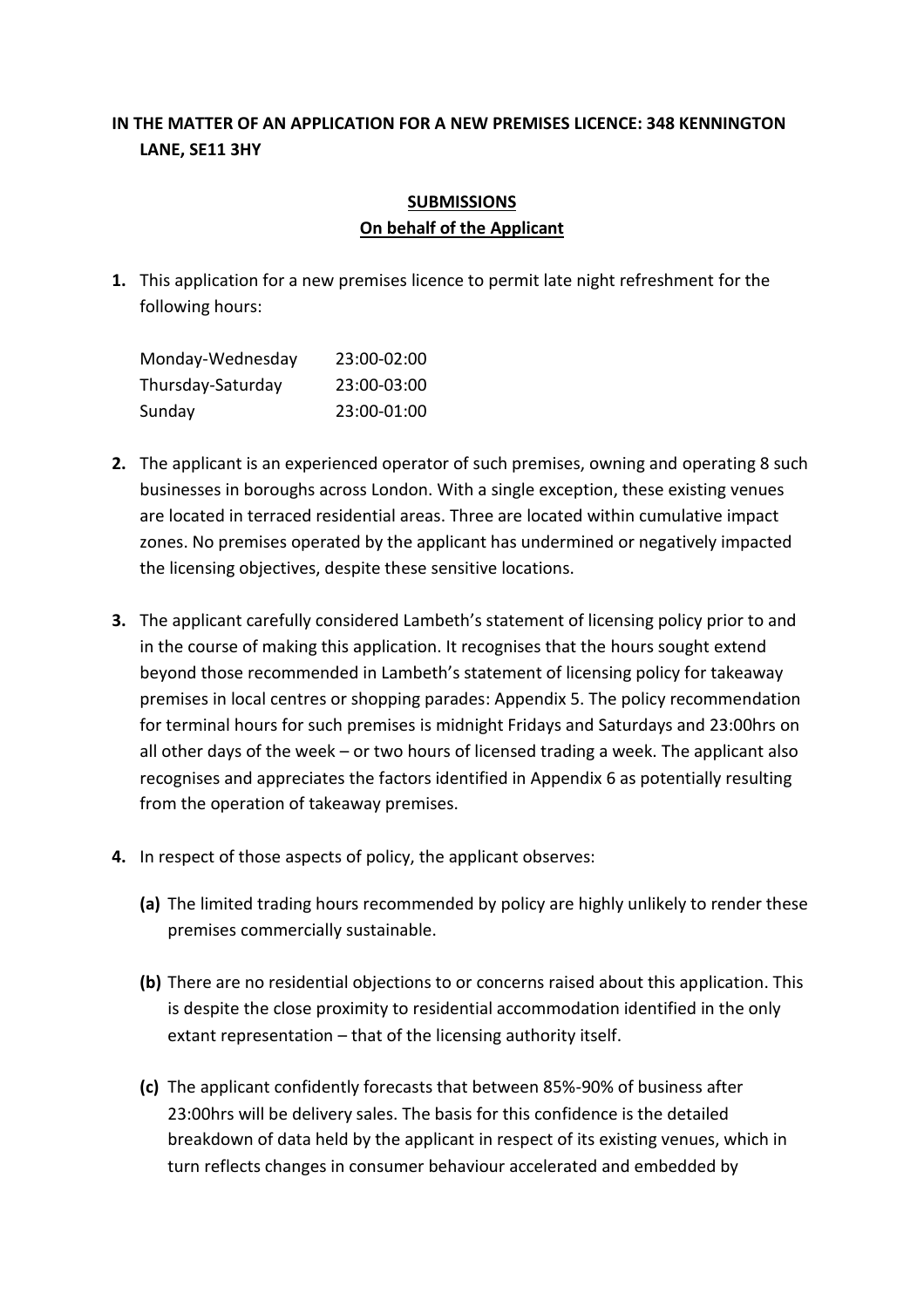## **IN THE MATTER OF AN APPLICATION FOR A NEW PREMISES LICENCE: 348 KENNINGTON LANE, SE11 3HY**

## **SUBMISSIONS On behalf of the Applicant**

**1.** This application for a new premises licence to permit late night refreshment for the following hours:

| Monday-Wednesday  | 23:00-02:00 |
|-------------------|-------------|
| Thursday-Saturday | 23:00-03:00 |
| Sunday            | 23:00-01:00 |

- **2.** The applicant is an experienced operator of such premises, owning and operating 8 such businesses in boroughs across London. With a single exception, these existing venues are located in terraced residential areas. Three are located within cumulative impact zones. No premises operated by the applicant has undermined or negatively impacted the licensing objectives, despite these sensitive locations.
- **3.** The applicant carefully considered Lambeth's statement of licensing policy prior to and in the course of making this application. It recognises that the hours sought extend beyond those recommended in Lambeth's statement of licensing policy for takeaway premises in local centres or shopping parades: Appendix 5. The policy recommendation for terminal hours for such premises is midnight Fridays and Saturdays and 23:00hrs on all other days of the week – or two hours of licensed trading a week. The applicant also recognises and appreciates the factors identified in Appendix 6 as potentially resulting from the operation of takeaway premises.
- **4.** In respect of those aspects of policy, the applicant observes:
	- **(a)** The limited trading hours recommended by policy are highly unlikely to render these premises commercially sustainable.
	- **(b)** There are no residential objections to or concerns raised about this application. This is despite the close proximity to residential accommodation identified in the only extant representation – that of the licensing authority itself.
	- **(c)** The applicant confidently forecasts that between 85%-90% of business after 23:00hrs will be delivery sales. The basis for this confidence is the detailed breakdown of data held by the applicant in respect of its existing venues, which in turn reflects changes in consumer behaviour accelerated and embedded by